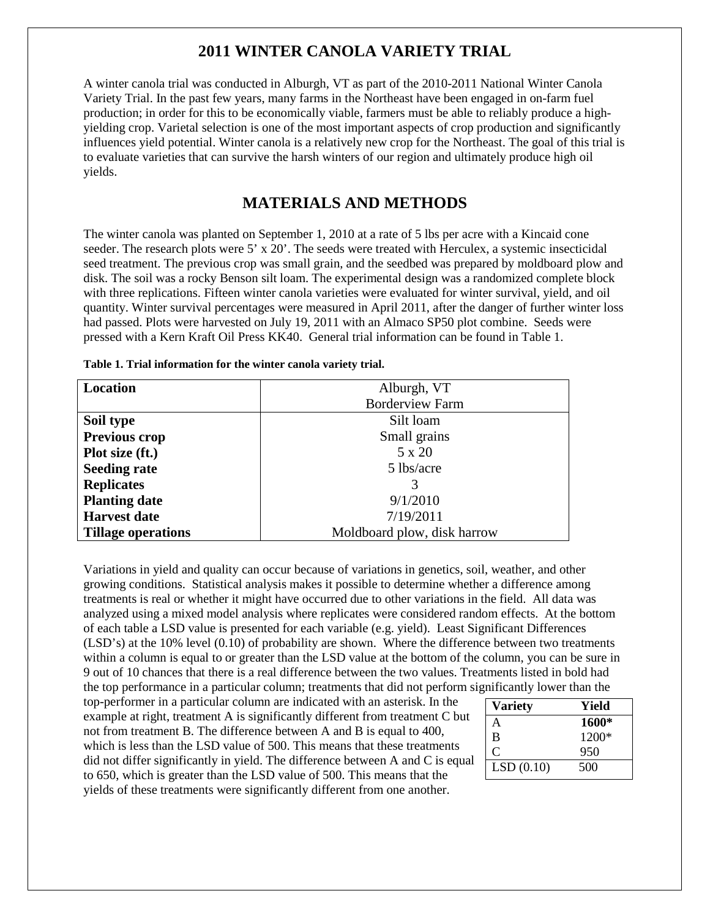# **2011 WINTER CANOLA VARIETY TRIAL**

A winter canola trial was conducted in Alburgh, VT as part of the 2010-2011 National Winter Canola Variety Trial. In the past few years, many farms in the Northeast have been engaged in on-farm fuel production; in order for this to be economically viable, farmers must be able to reliably produce a highyielding crop. Varietal selection is one of the most important aspects of crop production and significantly influences yield potential. Winter canola is a relatively new crop for the Northeast. The goal of this trial is to evaluate varieties that can survive the harsh winters of our region and ultimately produce high oil yields.

# **MATERIALS AND METHODS**

The winter canola was planted on September 1, 2010 at a rate of 5 lbs per acre with a Kincaid cone seeder. The research plots were 5' x 20'. The seeds were treated with Herculex, a systemic insecticidal seed treatment. The previous crop was small grain, and the seedbed was prepared by moldboard plow and disk. The soil was a rocky Benson silt loam. The experimental design was a randomized complete block with three replications. Fifteen winter canola varieties were evaluated for winter survival, yield, and oil quantity. Winter survival percentages were measured in April 2011, after the danger of further winter loss had passed. Plots were harvested on July 19, 2011 with an Almaco SP50 plot combine. Seeds were pressed with a Kern Kraft Oil Press KK40. General trial information can be found in Table 1.

| <b>Location</b>           | Alburgh, VT                 |  |  |  |  |  |
|---------------------------|-----------------------------|--|--|--|--|--|
|                           | <b>Borderview Farm</b>      |  |  |  |  |  |
| Soil type                 | Silt loam                   |  |  |  |  |  |
| Previous crop             | Small grains                |  |  |  |  |  |
| Plot size (ft.)           | 5 x 20                      |  |  |  |  |  |
| <b>Seeding rate</b>       | 5 lbs/acre                  |  |  |  |  |  |
| <b>Replicates</b>         |                             |  |  |  |  |  |
| <b>Planting date</b>      | 9/1/2010                    |  |  |  |  |  |
| <b>Harvest date</b>       | 7/19/2011                   |  |  |  |  |  |
| <b>Tillage operations</b> | Moldboard plow, disk harrow |  |  |  |  |  |

**Table 1. Trial information for the winter canola variety trial.**

Variations in yield and quality can occur because of variations in genetics, soil, weather, and other growing conditions. Statistical analysis makes it possible to determine whether a difference among treatments is real or whether it might have occurred due to other variations in the field. All data was analyzed using a mixed model analysis where replicates were considered random effects. At the bottom of each table a LSD value is presented for each variable (e.g. yield). Least Significant Differences (LSD's) at the 10% level (0.10) of probability are shown. Where the difference between two treatments within a column is equal to or greater than the LSD value at the bottom of the column, you can be sure in 9 out of 10 chances that there is a real difference between the two values. Treatments listed in bold had the top performance in a particular column; treatments that did not perform significantly lower than the

top-performer in a particular column are indicated with an asterisk. In the example at right, treatment A is significantly different from treatment C but not from treatment B. The difference between A and B is equal to 400, which is less than the LSD value of 500. This means that these treatments did not differ significantly in yield. The difference between A and C is equal to 650, which is greater than the LSD value of 500. This means that the yields of these treatments were significantly different from one another.

| <b>Variety</b> | Yield   |
|----------------|---------|
| А              | 1600*   |
| B              | $1200*$ |
| C              | 950     |
| LSD(0.10)      | 500     |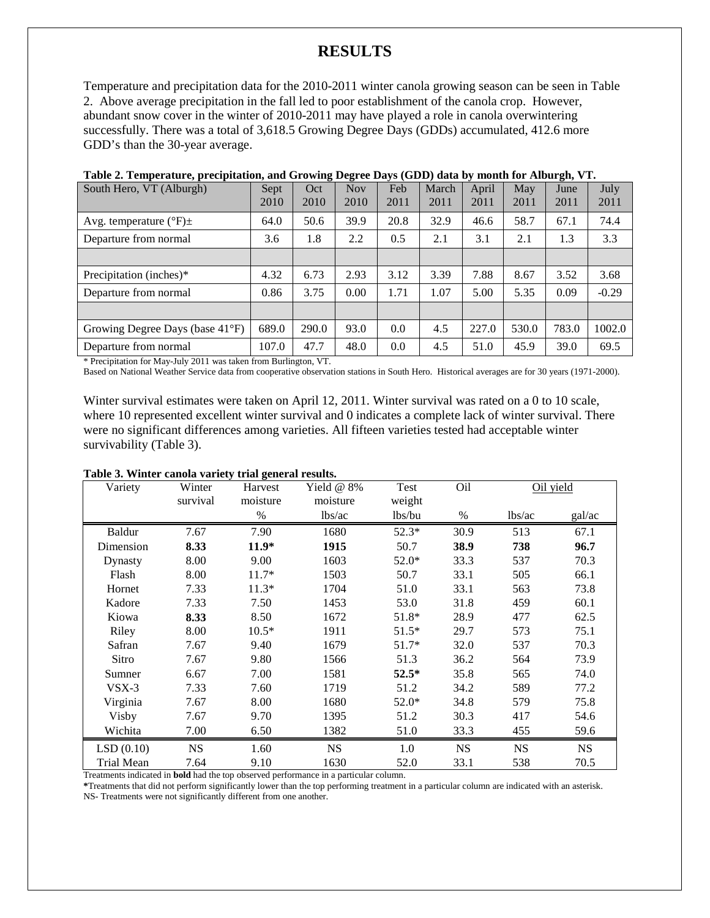## **RESULTS**

Temperature and precipitation data for the 2010-2011 winter canola growing season can be seen in Table 2. Above average precipitation in the fall led to poor establishment of the canola crop. However, abundant snow cover in the winter of 2010-2011 may have played a role in canola overwintering successfully. There was a total of 3,618.5 Growing Degree Days (GDDs) accumulated, 412.6 more GDD's than the 30-year average.

| South Hero, VT (Alburgh)             | Sept<br>2010 | Oct<br>2010 | $-$<br><b>Nov</b><br>2010 | Feb  | March | April | May<br>2011 | June<br>2011 | July<br>2011 |
|--------------------------------------|--------------|-------------|---------------------------|------|-------|-------|-------------|--------------|--------------|
|                                      |              |             |                           | 2011 | 2011  | 2011  |             |              |              |
| Avg. temperature $({}^{\circ}F) \pm$ | 64.0         | 50.6        | 39.9                      | 20.8 | 32.9  | 46.6  | 58.7        | 67.1         | 74.4         |
| Departure from normal                | 3.6          | 1.8         | 2.2                       | 0.5  | 2.1   | 3.1   | 2.1         | 1.3          | 3.3          |
|                                      |              |             |                           |      |       |       |             |              |              |
| Precipitation (inches)*              | 4.32         | 6.73        | 2.93                      | 3.12 | 3.39  | 7.88  | 8.67        | 3.52         | 3.68         |
| Departure from normal                | 0.86         | 3.75        | 0.00                      | 1.71 | 1.07  | 5.00  | 5.35        | 0.09         | $-0.29$      |
|                                      |              |             |                           |      |       |       |             |              |              |
| Growing Degree Days (base 41°F)      | 689.0        | 290.0       | 93.0                      | 0.0  | 4.5   | 227.0 | 530.0       | 783.0        | 1002.0       |
| Departure from normal                | 107.0        | 47.7        | 48.0                      | 0.0  | 4.5   | 51.0  | 45.9        | 39.0         | 69.5         |

| Table 2. Temperature, precipitation, and Growing Degree Days (GDD) data by month for Alburgh, VT. |  |  |  |
|---------------------------------------------------------------------------------------------------|--|--|--|
|                                                                                                   |  |  |  |

\* Precipitation for May-July 2011 was taken from Burlington, VT.

Based on National Weather Service data from cooperative observation stations in South Hero. Historical averages are for 30 years (1971-2000).

Winter survival estimates were taken on April 12, 2011. Winter survival was rated on a 0 to 10 scale, where 10 represented excellent winter survival and 0 indicates a complete lack of winter survival. There were no significant differences among varieties. All fifteen varieties tested had acceptable winter survivability (Table 3).

#### **Table 3. Winter canola variety trial general results.**

| Variety           | Winter<br>survival | Harvest<br>moisture | Yield $@$ 8%<br>moisture | Test<br>weight | Oil       |           | Oil yield |  |
|-------------------|--------------------|---------------------|--------------------------|----------------|-----------|-----------|-----------|--|
|                   |                    | %                   | lbs/ac                   | lbs/bu         | $\%$      | lbs/ac    | gal/ac    |  |
| <b>Baldur</b>     | 7.67               | 7.90                | 1680                     | $52.3*$        | 30.9      | 513       | 67.1      |  |
| Dimension         | 8.33               | $11.9*$             | 1915                     | 50.7           | 38.9      | 738       | 96.7      |  |
| Dynasty           | 8.00               | 9.00                | 1603                     | $52.0*$        | 33.3      | 537       | 70.3      |  |
| Flash             | 8.00               | $11.7*$             | 1503                     | 50.7           | 33.1      | 505       | 66.1      |  |
| Hornet            | 7.33               | $11.3*$             | 1704                     | 51.0           | 33.1      | 563       | 73.8      |  |
| Kadore            | 7.33               | 7.50                | 1453                     | 53.0           | 31.8      | 459       | 60.1      |  |
| Kiowa             | 8.33               | 8.50                | 1672                     | 51.8*          | 28.9      | 477       | 62.5      |  |
| Riley             | 8.00               | $10.5*$             | 1911                     | $51.5*$        | 29.7      | 573       | 75.1      |  |
| Safran            | 7.67               | 9.40                | 1679                     | $51.7*$        | 32.0      | 537       | 70.3      |  |
| Sitro             | 7.67               | 9.80                | 1566                     | 51.3           | 36.2      | 564       | 73.9      |  |
| Sumner            | 6.67               | 7.00                | 1581                     | $52.5*$        | 35.8      | 565       | 74.0      |  |
| $VSX-3$           | 7.33               | 7.60                | 1719                     | 51.2           | 34.2      | 589       | 77.2      |  |
| Virginia          | 7.67               | 8.00                | 1680                     | 52.0*          | 34.8      | 579       | 75.8      |  |
| Visby             | 7.67               | 9.70                | 1395                     | 51.2           | 30.3      | 417       | 54.6      |  |
| Wichita           | 7.00               | 6.50                | 1382                     | 51.0           | 33.3      | 455       | 59.6      |  |
| LSD(0.10)         | <b>NS</b>          | 1.60                | <b>NS</b>                | 1.0            | <b>NS</b> | <b>NS</b> | <b>NS</b> |  |
| <b>Trial Mean</b> | 7.64               | 9.10                | 1630                     | 52.0           | 33.1      | 538       | 70.5      |  |

Treatments indicated in **bold** had the top observed performance in a particular column.

**\***Treatments that did not perform significantly lower than the top performing treatment in a particular column are indicated with an asterisk. NS- Treatments were not significantly different from one another.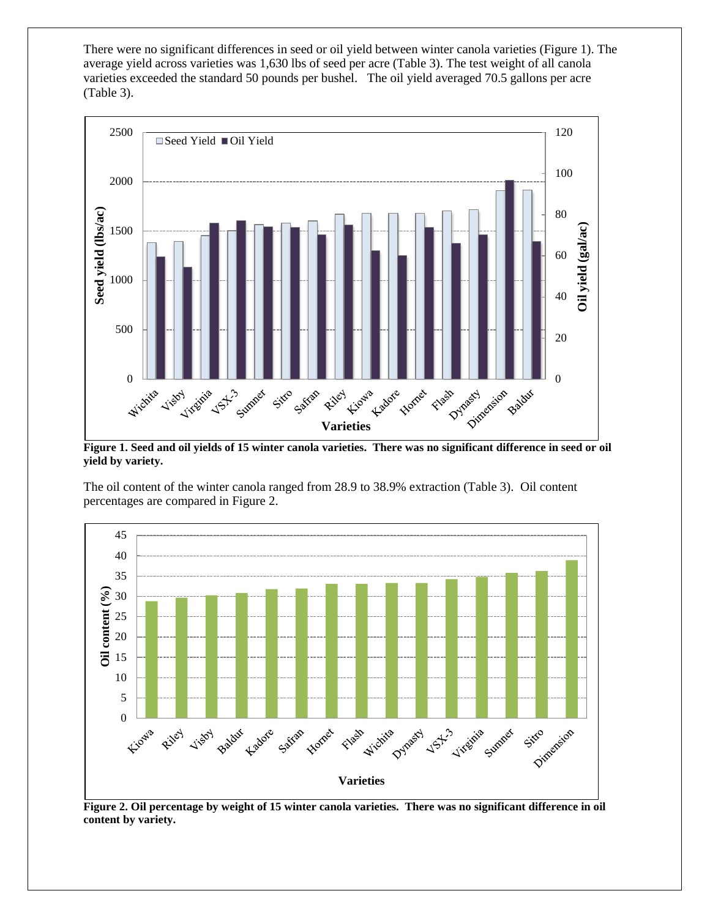There were no significant differences in seed or oil yield between winter canola varieties (Figure 1). The average yield across varieties was 1,630 lbs of seed per acre (Table 3). The test weight of all canola varieties exceeded the standard 50 pounds per bushel. The oil yield averaged 70.5 gallons per acre (Table 3).



**Figure 1. Seed and oil yields of 15 winter canola varieties. There was no significant difference in seed or oil yield by variety.**

The oil content of the winter canola ranged from 28.9 to 38.9% extraction (Table 3). Oil content percentages are compared in Figure 2.



**Figure 2. Oil percentage by weight of 15 winter canola varieties. There was no significant difference in oil content by variety.**